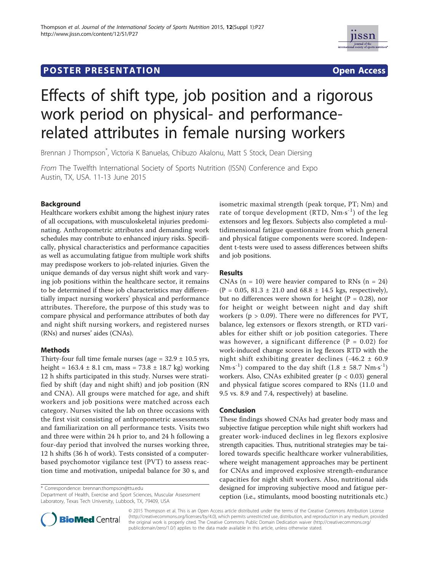## **POSTER PRESENTATION CONSUMING THE SERVICE SERVICE SERVICES**



# Effects of shift type, job position and a rigorous work period on physical- and performancerelated attributes in female nursing workers

Brennan J Thompson\* , Victoria K Banuelas, Chibuzo Akalonu, Matt S Stock, Dean Diersing

From The Twelfth International Society of Sports Nutrition (ISSN) Conference and Expo Austin, TX, USA. 11-13 June 2015

## Background

Healthcare workers exhibit among the highest injury rates of all occupations, with musculoskeletal injuries predominating. Anthropometric attributes and demanding work schedules may contribute to enhanced injury risks. Specifically, physical characteristics and performance capacities as well as accumulating fatigue from multiple work shifts may predispose workers to job-related injuries. Given the unique demands of day versus night shift work and varying job positions within the healthcare sector, it remains to be determined if these job characteristics may differentially impact nursing workers' physical and performance attributes. Therefore, the purpose of this study was to compare physical and performance attributes of both day and night shift nursing workers, and registered nurses (RNs) and nurses' aides (CNAs).

## Methods

Thirty-four full time female nurses (age =  $32.9 \pm 10.5$  yrs, height =  $163.4 \pm 8.1$  cm, mass =  $73.8 \pm 18.7$  kg) working 12 h shifts participated in this study. Nurses were stratified by shift (day and night shift) and job position (RN and CNA). All groups were matched for age, and shift workers and job positions were matched across each category. Nurses visited the lab on three occasions with the first visit consisting of anthropometric assessments and familiarization on all performance tests. Visits two and three were within 24 h prior to, and 24 h following a four-day period that involved the nurses working three, 12 h shifts (36 h of work). Tests consisted of a computerbased psychomotor vigilance test (PVT) to assess reaction time and motivation, unipedal balance for 30 s, and

\* Correspondence: brennan.thompson@ttu.edu

Department of Health, Exercise and Sport Sciences, Muscular Assessment Laboratory, Texas Tech University, Lubbock, TX, 79409, USA



#### Results

CNAs  $(n = 10)$  were heavier compared to RNs  $(n = 24)$  $(P = 0.05, 81.3 \pm 21.0 \text{ and } 68.8 \pm 14.5 \text{ kgs, respectively})$ , but no differences were shown for height ( $P = 0.28$ ), nor for height or weight between night and day shift workers ( $p > 0.09$ ). There were no differences for PVT, balance, leg extensors or flexors strength, or RTD variables for either shift or job position categories. There was however, a significant difference ( $P = 0.02$ ) for work-induced change scores in leg flexors RTD with the night shift exhibiting greater declines  $(-46.2 \pm 60.9)$ Nm·s<sup>-1</sup>) compared to the day shift  $(1.8 \pm 58.7 \text{ Nm}\cdot\text{s}^{-1})$ workers. Also, CNAs exhibited greater (p < 0.03) general and physical fatigue scores compared to RNs (11.0 and 9.5 vs. 8.9 and 7.4, respectively) at baseline.

## Conclusion

These findings showed CNAs had greater body mass and subjective fatigue perception while night shift workers had greater work-induced declines in leg flexors explosive strength capacities. Thus, nutritional strategies may be tailored towards specific healthcare worker vulnerabilities, where weight management approaches may be pertinent for CNAs and improved explosive strength-endurance capacities for night shift workers. Also, nutritional aids designed for improving subjective mood and fatigue perception (i.e., stimulants, mood boosting nutritionals etc.)



© 2015 Thompson et al. This is an Open Access article distributed under the terms of the Creative Commons Attribution License (http://creativecommons.org/licenses/by/4.0), which permits unrestricted use, distribution, and reproduction in any medium, provided the original work is properly cited. The Creative Commons Public Domain Dedication waiver (http://creativecommons.org/ publicdomain/zero/1.0/) applies to the data made available in this article, unless otherwise stated